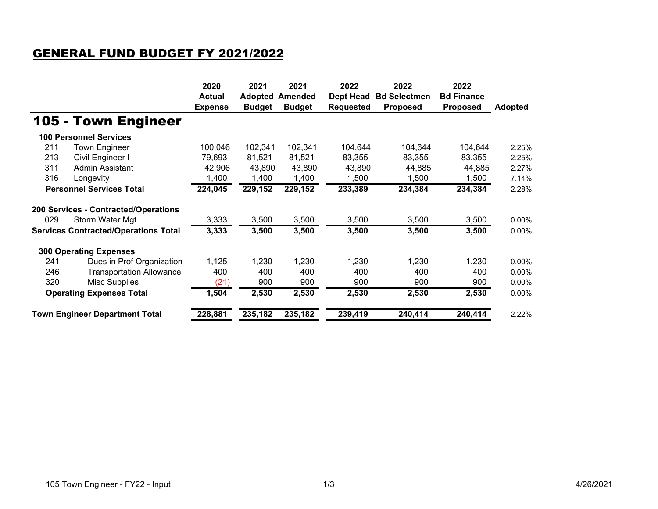## GENERAL FUND BUDGET FY 2021/2022

|                                             |                                      | 2020<br><b>Actual</b><br><b>Expense</b> | 2021<br><b>Adopted</b><br><b>Budget</b> | 2021<br>Amended<br><b>Budget</b> | 2022<br><b>Dept Head</b><br><b>Requested</b> | 2022<br><b>Bd Selectmen</b><br><b>Proposed</b> | 2022<br><b>Bd Finance</b><br><b>Proposed</b> | <b>Adopted</b> |
|---------------------------------------------|--------------------------------------|-----------------------------------------|-----------------------------------------|----------------------------------|----------------------------------------------|------------------------------------------------|----------------------------------------------|----------------|
|                                             | 105 - Town Engineer                  |                                         |                                         |                                  |                                              |                                                |                                              |                |
|                                             | <b>100 Personnel Services</b>        |                                         |                                         |                                  |                                              |                                                |                                              |                |
| 211                                         | <b>Town Engineer</b>                 | 100,046                                 | 102,341                                 | 102,341                          | 104,644                                      | 104,644                                        | 104,644                                      | 2.25%          |
| 213                                         | Civil Engineer I                     | 79,693                                  | 81,521                                  | 81,521                           | 83,355                                       | 83,355                                         | 83,355                                       | 2.25%          |
| 311                                         | Admin Assistant                      | 42,906                                  | 43,890                                  | 43,890                           | 43,890                                       | 44,885                                         | 44,885                                       | 2.27%          |
| 316                                         | Longevity                            | 1,400                                   | 1,400                                   | 1,400                            | 1,500                                        | 1,500                                          | 1,500                                        | 7.14%          |
| <b>Personnel Services Total</b>             |                                      | 224,045                                 | 229,152                                 | 229,152                          | 233,389                                      | 234,384                                        | 234,384                                      | 2.28%          |
|                                             | 200 Services - Contracted/Operations |                                         |                                         |                                  |                                              |                                                |                                              |                |
| 029                                         | Storm Water Mgt.                     | 3,333                                   | 3,500                                   | 3,500                            | 3,500                                        | 3,500                                          | 3,500                                        | 0.00%          |
| <b>Services Contracted/Operations Total</b> |                                      | 3,333                                   | 3,500                                   | 3,500                            | 3,500                                        | 3,500                                          | 3,500                                        | 0.00%          |
|                                             | <b>300 Operating Expenses</b>        |                                         |                                         |                                  |                                              |                                                |                                              |                |
| 241                                         | Dues in Prof Organization            | 1,125                                   | 1,230                                   | 1,230                            | 1,230                                        | 1,230                                          | 1,230                                        | 0.00%          |
| 246                                         | <b>Transportation Allowance</b>      | 400                                     | 400                                     | 400                              | 400                                          | 400                                            | 400                                          | 0.00%          |
| 320                                         | <b>Misc Supplies</b>                 | (21)                                    | 900                                     | 900                              | 900                                          | 900                                            | 900                                          | 0.00%          |
| <b>Operating Expenses Total</b>             |                                      | 1,504                                   | 2,530                                   | 2,530                            | 2,530                                        | 2,530                                          | 2,530                                        | 0.00%          |
| <b>Town Engineer Department Total</b>       |                                      | 228,881                                 | 235,182                                 | 235,182                          | 239,419                                      | 240,414                                        | 240,414                                      | 2.22%          |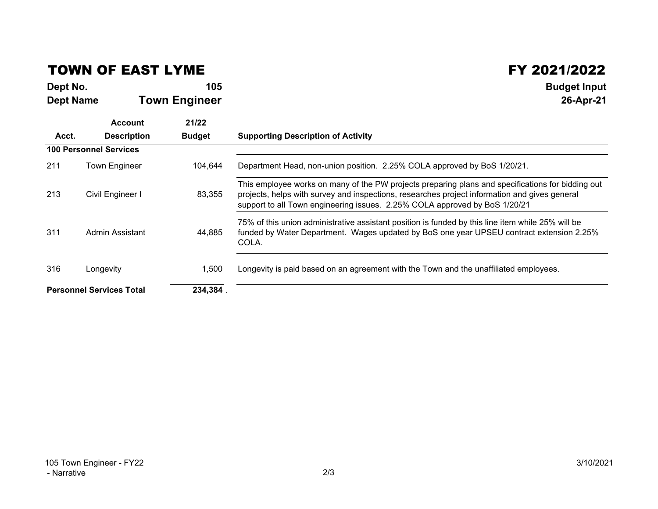## TOWN OF EAST LYME

**Dept No. <sup>105</sup> Budget Input Dept NameTown Engineer 26-Apr-21**

 $\begin{array}{c|c} \text{FY } 2021/2022 \end{array}$ <br>105

|                                 | <b>Account</b>                | 21/22         |                                                                                                                                                                                                                                                                                  |
|---------------------------------|-------------------------------|---------------|----------------------------------------------------------------------------------------------------------------------------------------------------------------------------------------------------------------------------------------------------------------------------------|
| Acct.                           | <b>Description</b>            | <b>Budget</b> | <b>Supporting Description of Activity</b>                                                                                                                                                                                                                                        |
|                                 | <b>100 Personnel Services</b> |               |                                                                                                                                                                                                                                                                                  |
| 211                             | <b>Town Engineer</b>          | 104.644       | Department Head, non-union position. 2.25% COLA approved by BoS 1/20/21.                                                                                                                                                                                                         |
| 213                             | Civil Engineer I              | 83,355        | This employee works on many of the PW projects preparing plans and specifications for bidding out<br>projects, helps with survey and inspections, researches project information and gives general<br>support to all Town engineering issues. 2.25% COLA approved by BoS 1/20/21 |
| 311                             | Admin Assistant               | 44.885        | 75% of this union administrative assistant position is funded by this line item while 25% will be<br>funded by Water Department. Wages updated by BoS one year UPSEU contract extension 2.25%<br>COLA.                                                                           |
| 316                             | Longevity                     | 1,500         | Longevity is paid based on an agreement with the Town and the unaffiliated employees.                                                                                                                                                                                            |
| <b>Personnel Services Total</b> |                               | 234,384       |                                                                                                                                                                                                                                                                                  |